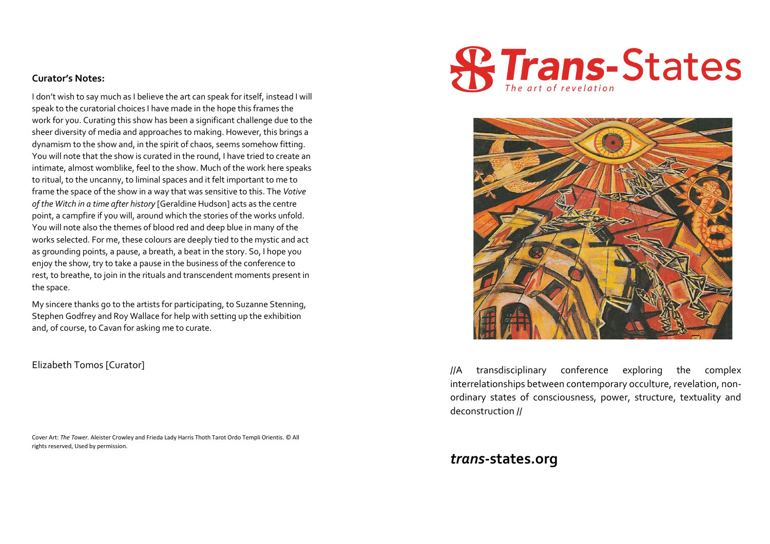## **Curator's Notes:**

I don't wish to say much as I believe the art can speak for itself, instead I will speak to the curatorial choices I have made in the hope this frames the work for you. Curating this show has been a significant challenge due to the sheer diversity of media and approaches to making. However, this brings a dynamism to the show and, in the spirit of chaos, seems somehow fitting. You will note that the show is curated in the round, I have tried to create an intimate, almost womblike, feel to the show. Much of the work here speaks to ritual, to the uncanny, to liminal spaces and it felt important to me to frame the space of the show in a way that was sensitive to this. The *Votive of the Witch in a time after history* [Geraldine Hudson] acts as the centre point, a campfire if you will, around which the stories of the works unfold. You will note also the themes of blood red and deep blue in many of the works selected. For me, these colours are deeply tied to the mystic and act as grounding points, a pause, a breath, a beat in the story. So, I hope you enjoy the show, try to take a pause in the business of the conference to rest, to breathe, to join in the rituals and transcendent moments present in the space.

My sincere thanks go to the artists for participating, to Suzanne Stenning, Stephen Godfrey and Roy Wallace for help with setting up the exhibition and, of course, to Cavan for asking me to curate.

## Elizabeth Tomos [Curator]

Cover Art: *The Tower.* Aleister Crowley and Frieda Lady Harris Thoth Tarot Ordo Templi Orientis. © All rights reserved, Used by permission.





//A transdisciplinary conference exploring the complex interrelationships between contemporary occulture, revelation, nonordinary states of consciousness, power, structure, textuality and deconstruction //

## *trans-***states.org**